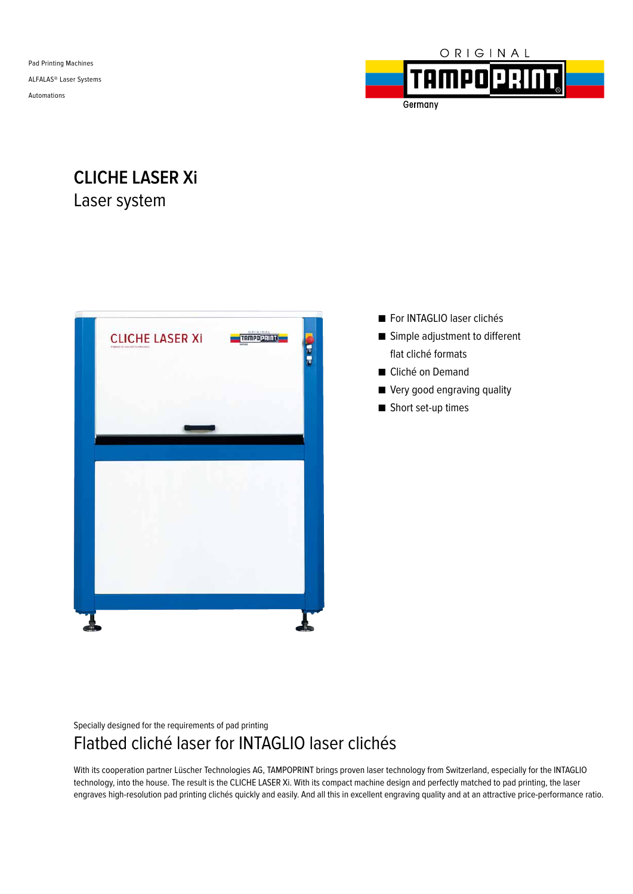Pad Printing Machines ALFALAS® Laser Systems Automations



Germany

## **CLICHE LASER Xi** Laser system



- For INTAGLIO laser clichés
- Simple adjustment to different flat cliché formats
- Cliché on Demand
- Very good engraving quality
- Short set-up times

Specially designed for the requirements of pad printing

## Flatbed cliché laser for INTAGLIO laser clichés

With its cooperation partner Lüscher Technologies AG, TAMPOPRINT brings proven laser technology from Switzerland, especially for the INTAGLIO technology, into the house. The result is the CLICHE LASER Xi. With its compact machine design and perfectly matched to pad printing, the laser engraves high-resolution pad printing clichés quickly and easily. And all this in excellent engraving quality and at an attractive price-performance ratio.